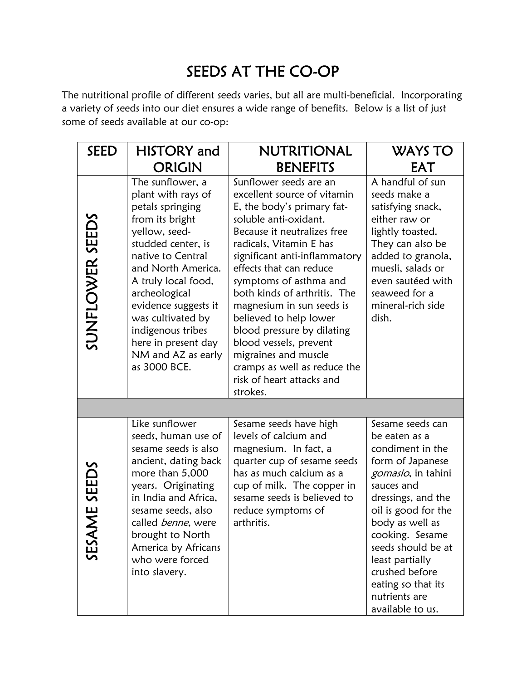## SEEDS AT THE CO-OP

The nutritional profile of different seeds varies, but all are multi-beneficial. Incorporating a variety of seeds into our diet ensures a wide range of benefits. Below is a list of just some of seeds available at our co-op:

| <b>SEED</b>             | <b>HISTORY</b> and                                                                                                                                                                                                                                                                                                                     | NUTRITIONAL                                                                                                                                                                                                                                                                                                                                                                                                                                                                                                  | WAYS TO                                                                                                                                                                                                                                                                                                                        |  |  |  |
|-------------------------|----------------------------------------------------------------------------------------------------------------------------------------------------------------------------------------------------------------------------------------------------------------------------------------------------------------------------------------|--------------------------------------------------------------------------------------------------------------------------------------------------------------------------------------------------------------------------------------------------------------------------------------------------------------------------------------------------------------------------------------------------------------------------------------------------------------------------------------------------------------|--------------------------------------------------------------------------------------------------------------------------------------------------------------------------------------------------------------------------------------------------------------------------------------------------------------------------------|--|--|--|
|                         | <b>ORIGIN</b>                                                                                                                                                                                                                                                                                                                          | <b>BENEFITS</b>                                                                                                                                                                                                                                                                                                                                                                                                                                                                                              | EAT                                                                                                                                                                                                                                                                                                                            |  |  |  |
| SUNFLOWER SEEDS         | The sunflower, a<br>plant with rays of<br>petals springing<br>from its bright<br>yellow, seed-<br>studded center, is<br>native to Central<br>and North America.<br>A truly local food,<br>archeological<br>evidence suggests it<br>was cultivated by<br>indigenous tribes<br>here in present day<br>NM and AZ as early<br>as 3000 BCE. | Sunflower seeds are an<br>excellent source of vitamin<br>E, the body's primary fat-<br>soluble anti-oxidant.<br>Because it neutralizes free<br>radicals, Vitamin E has<br>significant anti-inflammatory<br>effects that can reduce<br>symptoms of asthma and<br>both kinds of arthritis. The<br>magnesium in sun seeds is<br>believed to help lower<br>blood pressure by dilating<br>blood vessels, prevent<br>migraines and muscle<br>cramps as well as reduce the<br>risk of heart attacks and<br>strokes. | A handful of sun<br>seeds make a<br>satisfying snack,<br>either raw or<br>lightly toasted.<br>They can also be<br>added to granola,<br>muesli, salads or<br>even sautéed with<br>seaweed for a<br>mineral-rich side<br>dish.                                                                                                   |  |  |  |
|                         |                                                                                                                                                                                                                                                                                                                                        |                                                                                                                                                                                                                                                                                                                                                                                                                                                                                                              |                                                                                                                                                                                                                                                                                                                                |  |  |  |
| SEEDS<br>Ш<br>Z<br>SESA | Like sunflower<br>seeds, human use of<br>sesame seeds is also<br>ancient, dating back<br>more than 5,000<br>years. Originating<br>in India and Africa,<br>sesame seeds, also<br>called benne, were<br>brought to North<br>America by Africans<br>who were forced<br>into slavery.                                                      | Sesame seeds have high<br>levels of calcium and<br>magnesium. In fact, a<br>quarter cup of sesame seeds<br>has as much calcium as a<br>cup of milk. The copper in<br>sesame seeds is believed to<br>reduce symptoms of<br>arthritis.                                                                                                                                                                                                                                                                         | Sesame seeds can<br>be eaten as a<br>condiment in the<br>form of Japanese<br><i>gomasio</i> , in tahini<br>sauces and<br>dressings, and the<br>oil is good for the<br>body as well as<br>cooking. Sesame<br>seeds should be at<br>least partially<br>crushed before<br>eating so that its<br>nutrients are<br>available to us. |  |  |  |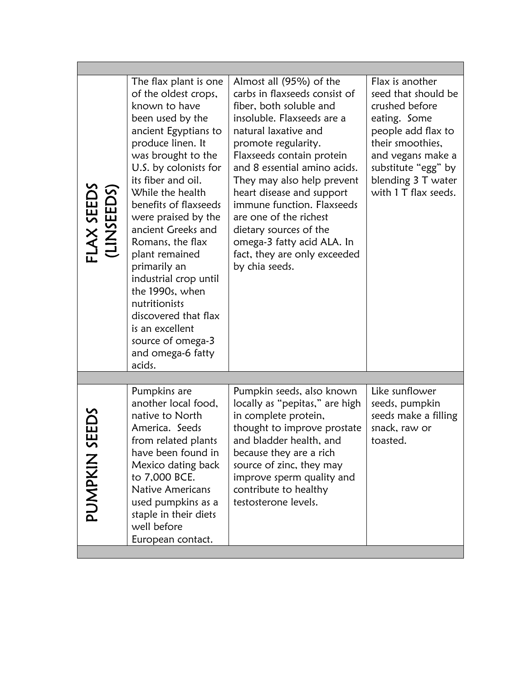| FLAX SEEDS<br>(LINSEEDS) | The flax plant is one<br>of the oldest crops,<br>known to have<br>been used by the<br>ancient Egyptians to<br>produce linen. It<br>was brought to the<br>U.S. by colonists for<br>its fiber and oil.<br>While the health<br>benefits of flaxseeds<br>were praised by the<br>ancient Greeks and<br>Romans, the flax<br>plant remained<br>primarily an<br>industrial crop until<br>the 1990s, when<br>nutritionists<br>discovered that flax<br>is an excellent<br>source of omega-3<br>and omega-6 fatty<br>acids. | Almost all (95%) of the<br>carbs in flaxseeds consist of<br>fiber, both soluble and<br>insoluble. Flaxseeds are a<br>natural laxative and<br>promote regularity.<br>Flaxseeds contain protein<br>and 8 essential amino acids.<br>They may also help prevent<br>heart disease and support<br>immune function. Flaxseeds<br>are one of the richest<br>dietary sources of the<br>omega-3 fatty acid ALA. In<br>fact, they are only exceeded<br>by chia seeds. | Flax is another<br>seed that should be<br>crushed before<br>eating. Some<br>people add flax to<br>their smoothies,<br>and vegans make a<br>substitute "egg" by<br>blending 3 T water<br>with 1 T flax seeds. |  |  |
|--------------------------|------------------------------------------------------------------------------------------------------------------------------------------------------------------------------------------------------------------------------------------------------------------------------------------------------------------------------------------------------------------------------------------------------------------------------------------------------------------------------------------------------------------|------------------------------------------------------------------------------------------------------------------------------------------------------------------------------------------------------------------------------------------------------------------------------------------------------------------------------------------------------------------------------------------------------------------------------------------------------------|--------------------------------------------------------------------------------------------------------------------------------------------------------------------------------------------------------------|--|--|
|                          |                                                                                                                                                                                                                                                                                                                                                                                                                                                                                                                  |                                                                                                                                                                                                                                                                                                                                                                                                                                                            |                                                                                                                                                                                                              |  |  |
| SEEDS<br>PUMPKIN         | Pumpkins are<br>another local food,<br>native to North<br>America. Seeds<br>from related plants<br>have been found in<br>Mexico dating back<br>to 7,000 BCE.<br>Native Americans<br>used pumpkins as a<br>staple in their diets<br>well before<br>European contact.                                                                                                                                                                                                                                              | Pumpkin seeds, also known<br>locally as "pepitas," are high<br>in complete protein,<br>thought to improve prostate<br>and bladder health, and<br>because they are a rich<br>source of zinc, they may<br>improve sperm quality and<br>contribute to healthy<br>testosterone levels.                                                                                                                                                                         | Like sunflower<br>seeds, pumpkin<br>seeds make a filling<br>snack, raw or<br>toasted.                                                                                                                        |  |  |
|                          |                                                                                                                                                                                                                                                                                                                                                                                                                                                                                                                  |                                                                                                                                                                                                                                                                                                                                                                                                                                                            |                                                                                                                                                                                                              |  |  |